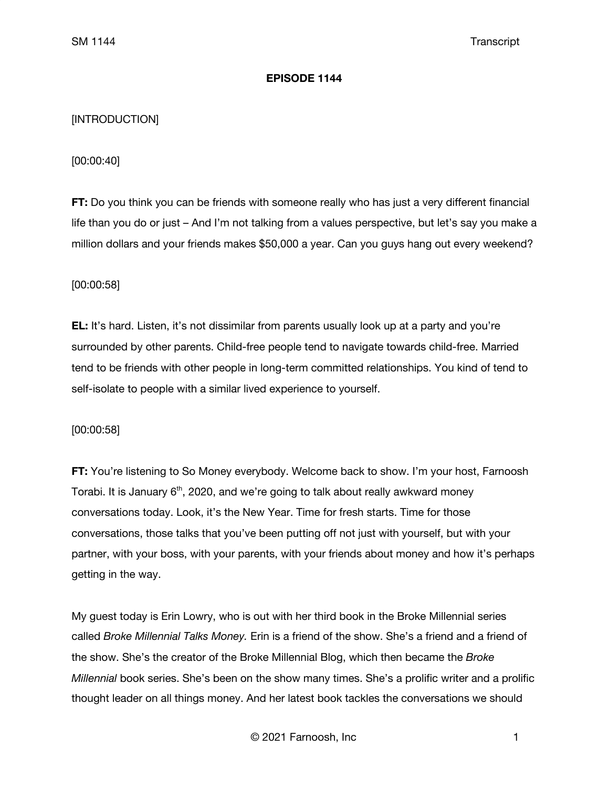### **EPISODE 1144**

# [INTRODUCTION]

# [00:00:40]

**FT:** Do you think you can be friends with someone really who has just a very different financial life than you do or just – And I'm not talking from a values perspective, but let's say you make a million dollars and your friends makes \$50,000 a year. Can you guys hang out every weekend?

# [00:00:58]

**EL:** It's hard. Listen, it's not dissimilar from parents usually look up at a party and you're surrounded by other parents. Child-free people tend to navigate towards child-free. Married tend to be friends with other people in long-term committed relationships. You kind of tend to self-isolate to people with a similar lived experience to yourself.

### [00:00:58]

**FT:** You're listening to So Money everybody. Welcome back to show. I'm your host, Farnoosh Torabi. It is January 6<sup>th</sup>, 2020, and we're going to talk about really awkward money conversations today. Look, it's the New Year. Time for fresh starts. Time for those conversations, those talks that you've been putting off not just with yourself, but with your partner, with your boss, with your parents, with your friends about money and how it's perhaps getting in the way.

My guest today is Erin Lowry, who is out with her third book in the Broke Millennial series called *Broke Millennial Talks Money.* Erin is a friend of the show. She's a friend and a friend of the show. She's the creator of the Broke Millennial Blog, which then became the *Broke Millennial* book series. She's been on the show many times. She's a prolific writer and a prolific thought leader on all things money. And her latest book tackles the conversations we should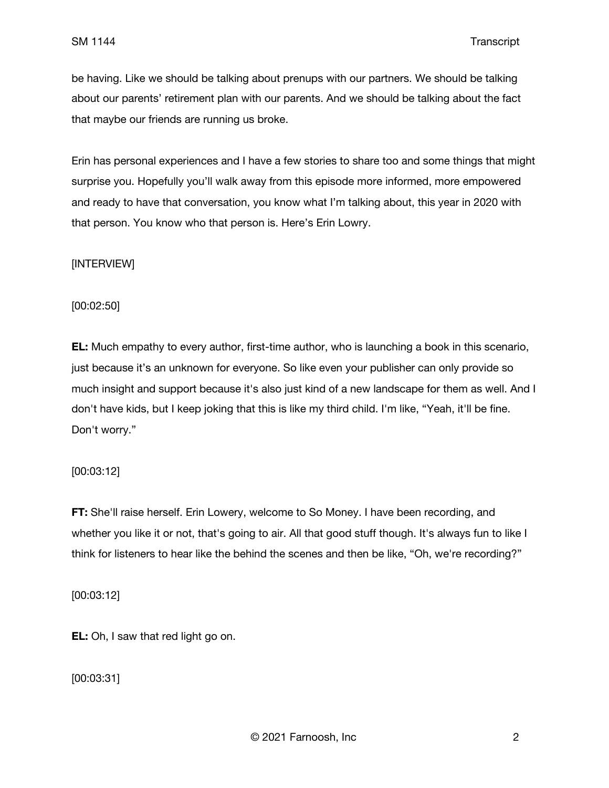be having. Like we should be talking about prenups with our partners. We should be talking about our parents' retirement plan with our parents. And we should be talking about the fact that maybe our friends are running us broke.

Erin has personal experiences and I have a few stories to share too and some things that might surprise you. Hopefully you'll walk away from this episode more informed, more empowered and ready to have that conversation, you know what I'm talking about, this year in 2020 with that person. You know who that person is. Here's Erin Lowry.

[INTERVIEW]

[00:02:50]

**EL:** Much empathy to every author, first-time author, who is launching a book in this scenario, just because it's an unknown for everyone. So like even your publisher can only provide so much insight and support because it's also just kind of a new landscape for them as well. And I don't have kids, but I keep joking that this is like my third child. I'm like, "Yeah, it'll be fine. Don't worry."

[00:03:12]

**FT:** She'll raise herself. Erin Lowery, welcome to So Money. I have been recording, and whether you like it or not, that's going to air. All that good stuff though. It's always fun to like I think for listeners to hear like the behind the scenes and then be like, "Oh, we're recording?"

[00:03:12]

**EL:** Oh, I saw that red light go on.

[00:03:31]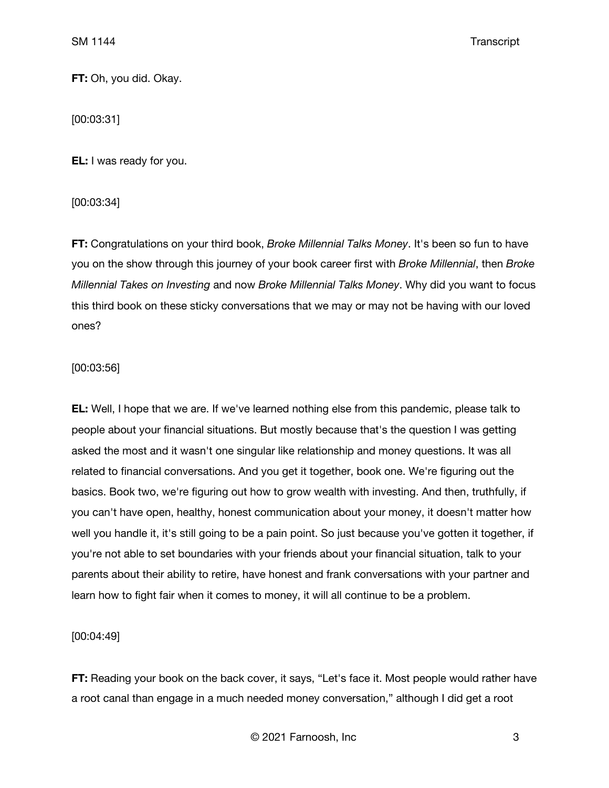**FT:** Oh, you did. Okay.

[00:03:31]

**EL:** I was ready for you.

[00:03:34]

**FT:** Congratulations on your third book, *Broke Millennial Talks Money*. It's been so fun to have you on the show through this journey of your book career first with *Broke Millennial*, then *Broke Millennial Takes on Investing* and now *Broke Millennial Talks Money*. Why did you want to focus this third book on these sticky conversations that we may or may not be having with our loved ones?

# [00:03:56]

**EL:** Well, I hope that we are. If we've learned nothing else from this pandemic, please talk to people about your financial situations. But mostly because that's the question I was getting asked the most and it wasn't one singular like relationship and money questions. It was all related to financial conversations. And you get it together, book one. We're figuring out the basics. Book two, we're figuring out how to grow wealth with investing. And then, truthfully, if you can't have open, healthy, honest communication about your money, it doesn't matter how well you handle it, it's still going to be a pain point. So just because you've gotten it together, if you're not able to set boundaries with your friends about your financial situation, talk to your parents about their ability to retire, have honest and frank conversations with your partner and learn how to fight fair when it comes to money, it will all continue to be a problem.

# [00:04:49]

**FT:** Reading your book on the back cover, it says, "Let's face it. Most people would rather have a root canal than engage in a much needed money conversation," although I did get a root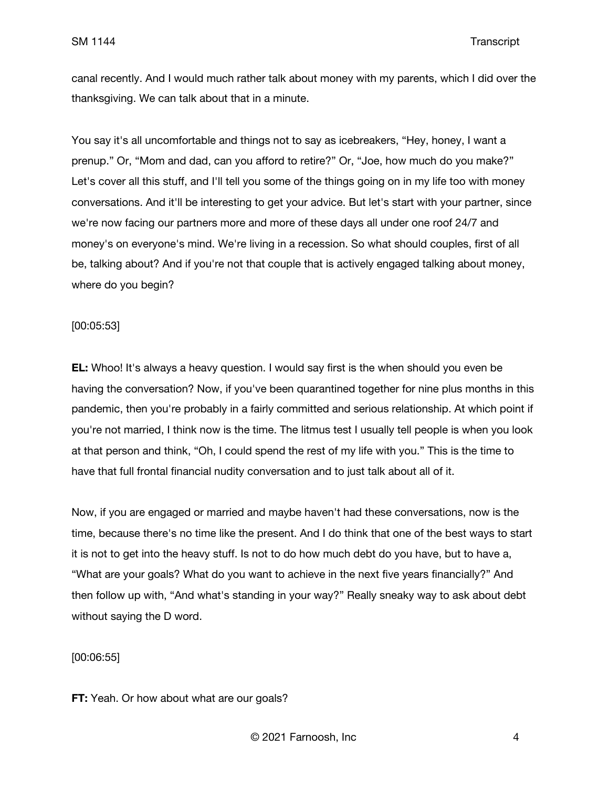canal recently. And I would much rather talk about money with my parents, which I did over the thanksgiving. We can talk about that in a minute.

You say it's all uncomfortable and things not to say as icebreakers, "Hey, honey, I want a prenup." Or, "Mom and dad, can you afford to retire?" Or, "Joe, how much do you make?" Let's cover all this stuff, and I'll tell you some of the things going on in my life too with money conversations. And it'll be interesting to get your advice. But let's start with your partner, since we're now facing our partners more and more of these days all under one roof 24/7 and money's on everyone's mind. We're living in a recession. So what should couples, first of all be, talking about? And if you're not that couple that is actively engaged talking about money, where do you begin?

### [00:05:53]

**EL:** Whoo! It's always a heavy question. I would say first is the when should you even be having the conversation? Now, if you've been quarantined together for nine plus months in this pandemic, then you're probably in a fairly committed and serious relationship. At which point if you're not married, I think now is the time. The litmus test I usually tell people is when you look at that person and think, "Oh, I could spend the rest of my life with you." This is the time to have that full frontal financial nudity conversation and to just talk about all of it.

Now, if you are engaged or married and maybe haven't had these conversations, now is the time, because there's no time like the present. And I do think that one of the best ways to start it is not to get into the heavy stuff. Is not to do how much debt do you have, but to have a, "What are your goals? What do you want to achieve in the next five years financially?" And then follow up with, "And what's standing in your way?" Really sneaky way to ask about debt without saying the D word.

[00:06:55]

**FT:** Yeah. Or how about what are our goals?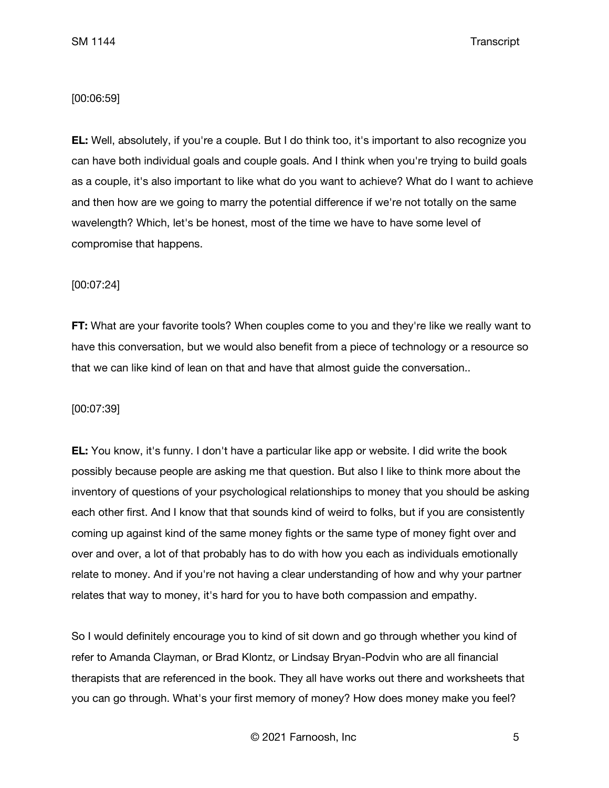### [00:06:59]

**EL:** Well, absolutely, if you're a couple. But I do think too, it's important to also recognize you can have both individual goals and couple goals. And I think when you're trying to build goals as a couple, it's also important to like what do you want to achieve? What do I want to achieve and then how are we going to marry the potential difference if we're not totally on the same wavelength? Which, let's be honest, most of the time we have to have some level of compromise that happens.

# [00:07:24]

**FT:** What are your favorite tools? When couples come to you and they're like we really want to have this conversation, but we would also benefit from a piece of technology or a resource so that we can like kind of lean on that and have that almost guide the conversation..

### [00:07:39]

**EL:** You know, it's funny. I don't have a particular like app or website. I did write the book possibly because people are asking me that question. But also I like to think more about the inventory of questions of your psychological relationships to money that you should be asking each other first. And I know that that sounds kind of weird to folks, but if you are consistently coming up against kind of the same money fights or the same type of money fight over and over and over, a lot of that probably has to do with how you each as individuals emotionally relate to money. And if you're not having a clear understanding of how and why your partner relates that way to money, it's hard for you to have both compassion and empathy.

So I would definitely encourage you to kind of sit down and go through whether you kind of refer to Amanda Clayman, or Brad Klontz, or Lindsay Bryan-Podvin who are all financial therapists that are referenced in the book. They all have works out there and worksheets that you can go through. What's your first memory of money? How does money make you feel?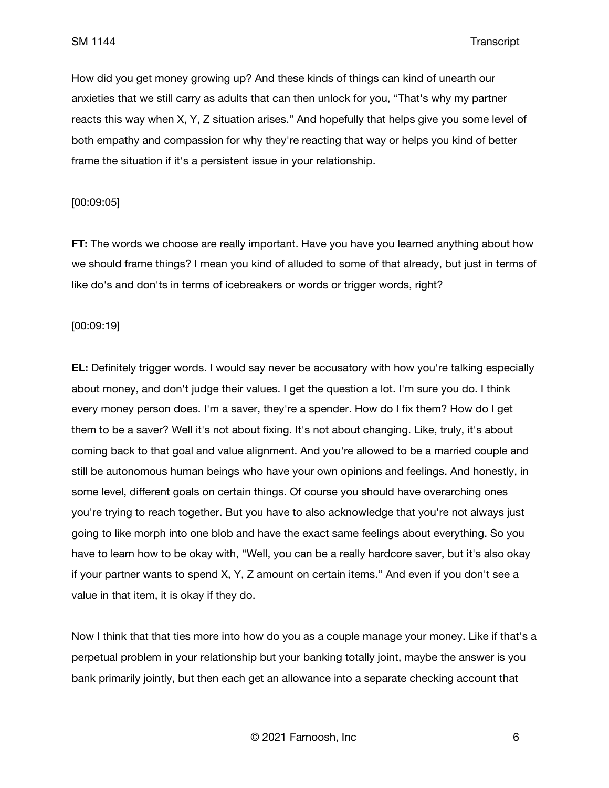How did you get money growing up? And these kinds of things can kind of unearth our anxieties that we still carry as adults that can then unlock for you, "That's why my partner reacts this way when X, Y, Z situation arises." And hopefully that helps give you some level of both empathy and compassion for why they're reacting that way or helps you kind of better frame the situation if it's a persistent issue in your relationship.

### [00:09:05]

**FT:** The words we choose are really important. Have you have you learned anything about how we should frame things? I mean you kind of alluded to some of that already, but just in terms of like do's and don'ts in terms of icebreakers or words or trigger words, right?

### [00:09:19]

**EL:** Definitely trigger words. I would say never be accusatory with how you're talking especially about money, and don't judge their values. I get the question a lot. I'm sure you do. I think every money person does. I'm a saver, they're a spender. How do I fix them? How do I get them to be a saver? Well it's not about fixing. It's not about changing. Like, truly, it's about coming back to that goal and value alignment. And you're allowed to be a married couple and still be autonomous human beings who have your own opinions and feelings. And honestly, in some level, different goals on certain things. Of course you should have overarching ones you're trying to reach together. But you have to also acknowledge that you're not always just going to like morph into one blob and have the exact same feelings about everything. So you have to learn how to be okay with, "Well, you can be a really hardcore saver, but it's also okay if your partner wants to spend X, Y, Z amount on certain items." And even if you don't see a value in that item, it is okay if they do.

Now I think that that ties more into how do you as a couple manage your money. Like if that's a perpetual problem in your relationship but your banking totally joint, maybe the answer is you bank primarily jointly, but then each get an allowance into a separate checking account that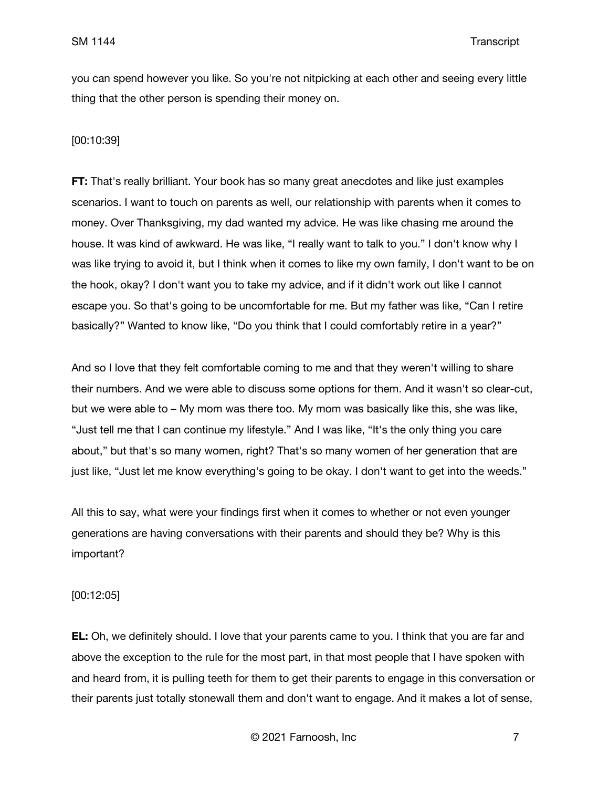you can spend however you like. So you're not nitpicking at each other and seeing every little thing that the other person is spending their money on.

### [00:10:39]

**FT:** That's really brilliant. Your book has so many great anecdotes and like just examples scenarios. I want to touch on parents as well, our relationship with parents when it comes to money. Over Thanksgiving, my dad wanted my advice. He was like chasing me around the house. It was kind of awkward. He was like, "I really want to talk to you." I don't know why I was like trying to avoid it, but I think when it comes to like my own family, I don't want to be on the hook, okay? I don't want you to take my advice, and if it didn't work out like I cannot escape you. So that's going to be uncomfortable for me. But my father was like, "Can I retire basically?" Wanted to know like, "Do you think that I could comfortably retire in a year?"

And so I love that they felt comfortable coming to me and that they weren't willing to share their numbers. And we were able to discuss some options for them. And it wasn't so clear-cut, but we were able to – My mom was there too. My mom was basically like this, she was like, "Just tell me that I can continue my lifestyle." And I was like, "It's the only thing you care about," but that's so many women, right? That's so many women of her generation that are just like, "Just let me know everything's going to be okay. I don't want to get into the weeds."

All this to say, what were your findings first when it comes to whether or not even younger generations are having conversations with their parents and should they be? Why is this important?

[00:12:05]

**EL:** Oh, we definitely should. I love that your parents came to you. I think that you are far and above the exception to the rule for the most part, in that most people that I have spoken with and heard from, it is pulling teeth for them to get their parents to engage in this conversation or their parents just totally stonewall them and don't want to engage. And it makes a lot of sense,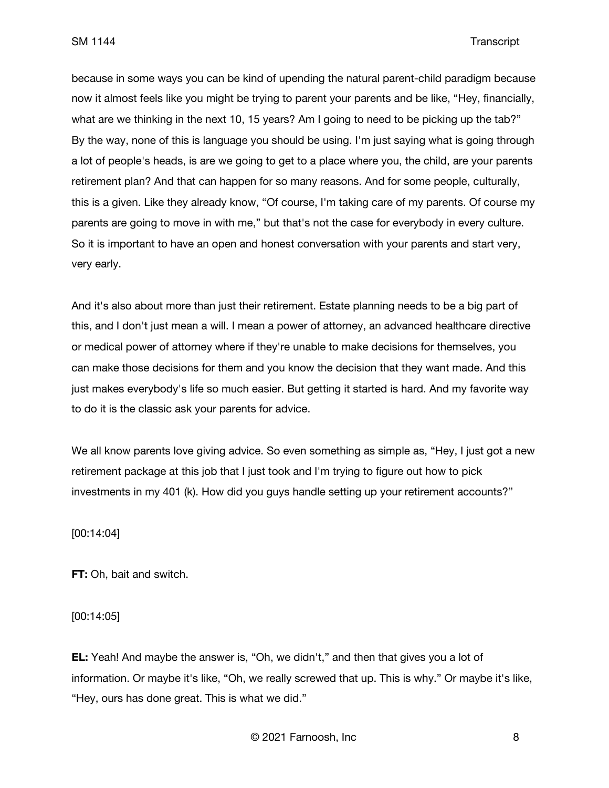because in some ways you can be kind of upending the natural parent-child paradigm because now it almost feels like you might be trying to parent your parents and be like, "Hey, financially, what are we thinking in the next 10, 15 years? Am I going to need to be picking up the tab?" By the way, none of this is language you should be using. I'm just saying what is going through a lot of people's heads, is are we going to get to a place where you, the child, are your parents retirement plan? And that can happen for so many reasons. And for some people, culturally, this is a given. Like they already know, "Of course, I'm taking care of my parents. Of course my parents are going to move in with me," but that's not the case for everybody in every culture. So it is important to have an open and honest conversation with your parents and start very, very early.

And it's also about more than just their retirement. Estate planning needs to be a big part of this, and I don't just mean a will. I mean a power of attorney, an advanced healthcare directive or medical power of attorney where if they're unable to make decisions for themselves, you can make those decisions for them and you know the decision that they want made. And this just makes everybody's life so much easier. But getting it started is hard. And my favorite way to do it is the classic ask your parents for advice.

We all know parents love giving advice. So even something as simple as, "Hey, I just got a new retirement package at this job that I just took and I'm trying to figure out how to pick investments in my 401 (k). How did you guys handle setting up your retirement accounts?"

[00:14:04]

**FT:** Oh, bait and switch.

[00:14:05]

**EL:** Yeah! And maybe the answer is, "Oh, we didn't," and then that gives you a lot of information. Or maybe it's like, "Oh, we really screwed that up. This is why." Or maybe it's like, "Hey, ours has done great. This is what we did."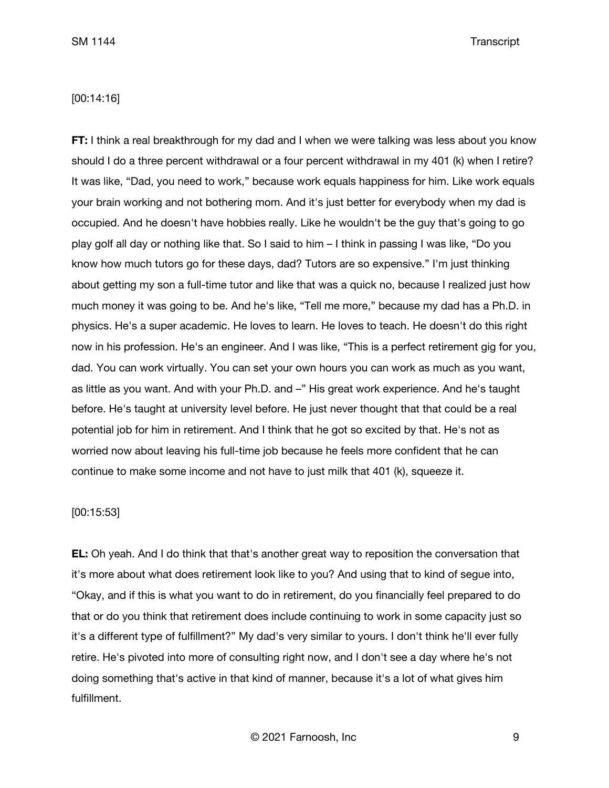### [00:14:16]

**FT:** I think a real breakthrough for my dad and I when we were talking was less about you know should I do a three percent withdrawal or a four percent withdrawal in my 401 (k) when I retire? It was like, "Dad, you need to work," because work equals happiness for him. Like work equals your brain working and not bothering mom. And it's just better for everybody when my dad is occupied. And he doesn't have hobbies really. Like he wouldn't be the guy that's going to go play golf all day or nothing like that. So I said to him – I think in passing I was like, "Do you know how much tutors go for these days, dad? Tutors are so expensive." I'm just thinking about getting my son a full-time tutor and like that was a quick no, because I realized just how much money it was going to be. And he's like, "Tell me more," because my dad has a Ph.D. in physics. He's a super academic. He loves to learn. He loves to teach. He doesn't do this right now in his profession. He's an engineer. And I was like, "This is a perfect retirement gig for you, dad. You can work virtually. You can set your own hours you can work as much as you want, as little as you want. And with your Ph.D. and –" His great work experience. And he's taught before. He's taught at university level before. He just never thought that that could be a real potential job for him in retirement. And I think that he got so excited by that. He's not as worried now about leaving his full-time job because he feels more confident that he can continue to make some income and not have to just milk that 401 (k), squeeze it.

#### [00:15:53]

**EL:** Oh yeah. And I do think that that's another great way to reposition the conversation that it's more about what does retirement look like to you? And using that to kind of segue into, "Okay, and if this is what you want to do in retirement, do you financially feel prepared to do that or do you think that retirement does include continuing to work in some capacity just so it's a different type of fulfillment?" My dad's very similar to yours. I don't think he'll ever fully retire. He's pivoted into more of consulting right now, and I don't see a day where he's not doing something that's active in that kind of manner, because it's a lot of what gives him fulfillment.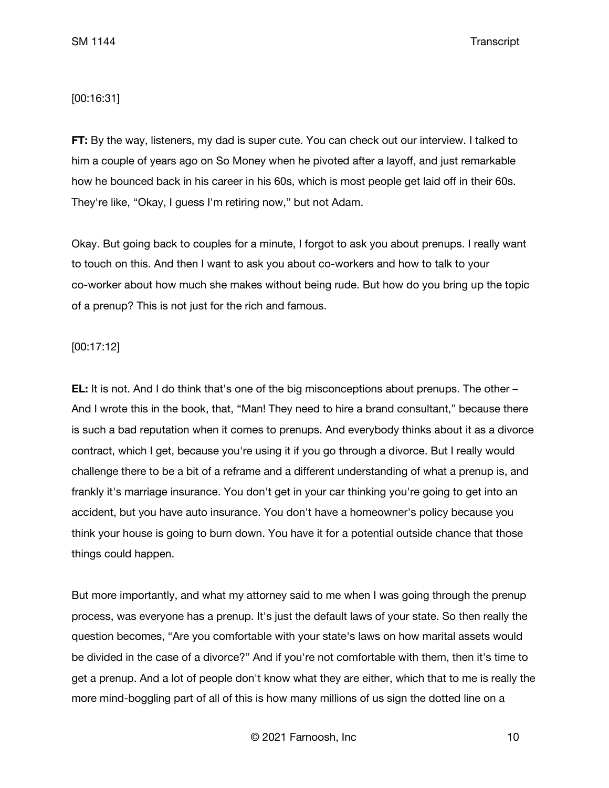# [00:16:31]

**FT:** By the way, listeners, my dad is super cute. You can check out our interview. I talked to him a couple of years ago on So Money when he pivoted after a layoff, and just remarkable how he bounced back in his career in his 60s, which is most people get laid off in their 60s. They're like, "Okay, I guess I'm retiring now," but not Adam.

Okay. But going back to couples for a minute, I forgot to ask you about prenups. I really want to touch on this. And then I want to ask you about co-workers and how to talk to your co-worker about how much she makes without being rude. But how do you bring up the topic of a prenup? This is not just for the rich and famous.

### [00:17:12]

**EL:** It is not. And I do think that's one of the big misconceptions about prenups. The other – And I wrote this in the book, that, "Man! They need to hire a brand consultant," because there is such a bad reputation when it comes to prenups. And everybody thinks about it as a divorce contract, which I get, because you're using it if you go through a divorce. But I really would challenge there to be a bit of a reframe and a different understanding of what a prenup is, and frankly it's marriage insurance. You don't get in your car thinking you're going to get into an accident, but you have auto insurance. You don't have a homeowner's policy because you think your house is going to burn down. You have it for a potential outside chance that those things could happen.

But more importantly, and what my attorney said to me when I was going through the prenup process, was everyone has a prenup. It's just the default laws of your state. So then really the question becomes, "Are you comfortable with your state's laws on how marital assets would be divided in the case of a divorce?" And if you're not comfortable with them, then it's time to get a prenup. And a lot of people don't know what they are either, which that to me is really the more mind-boggling part of all of this is how many millions of us sign the dotted line on a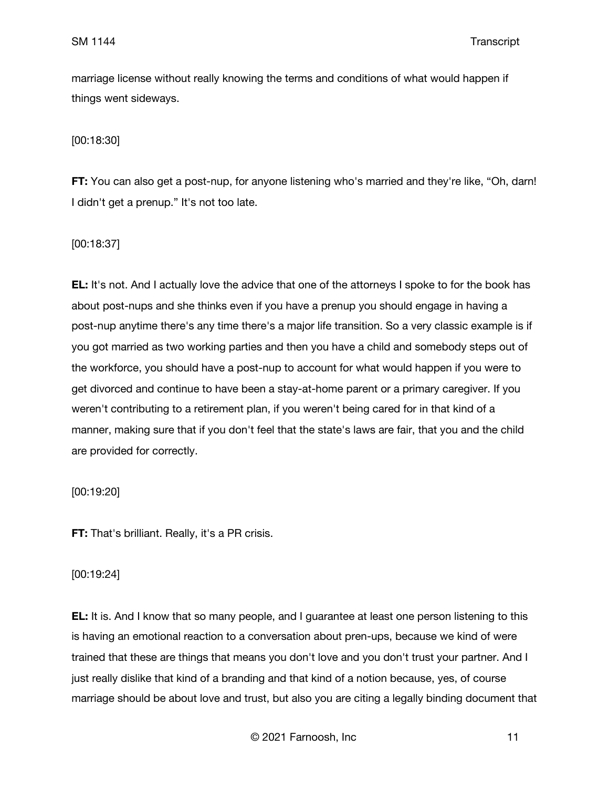marriage license without really knowing the terms and conditions of what would happen if things went sideways.

[00:18:30]

**FT:** You can also get a post-nup, for anyone listening who's married and they're like, "Oh, darn! I didn't get a prenup." It's not too late.

[00:18:37]

**EL:** It's not. And I actually love the advice that one of the attorneys I spoke to for the book has about post-nups and she thinks even if you have a prenup you should engage in having a post-nup anytime there's any time there's a major life transition. So a very classic example is if you got married as two working parties and then you have a child and somebody steps out of the workforce, you should have a post-nup to account for what would happen if you were to get divorced and continue to have been a stay-at-home parent or a primary caregiver. If you weren't contributing to a retirement plan, if you weren't being cared for in that kind of a manner, making sure that if you don't feel that the state's laws are fair, that you and the child are provided for correctly.

[00:19:20]

**FT:** That's brilliant. Really, it's a PR crisis.

[00:19:24]

**EL:** It is. And I know that so many people, and I guarantee at least one person listening to this is having an emotional reaction to a conversation about pren-ups, because we kind of were trained that these are things that means you don't love and you don't trust your partner. And I just really dislike that kind of a branding and that kind of a notion because, yes, of course marriage should be about love and trust, but also you are citing a legally binding document that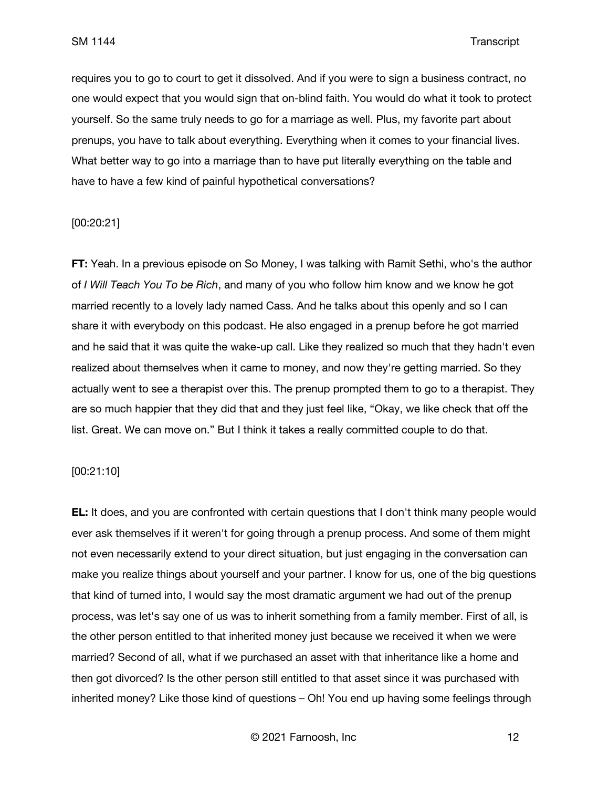requires you to go to court to get it dissolved. And if you were to sign a business contract, no one would expect that you would sign that on-blind faith. You would do what it took to protect yourself. So the same truly needs to go for a marriage as well. Plus, my favorite part about prenups, you have to talk about everything. Everything when it comes to your financial lives. What better way to go into a marriage than to have put literally everything on the table and have to have a few kind of painful hypothetical conversations?

#### [00:20:21]

**FT:** Yeah. In a previous episode on So Money, I was talking with Ramit Sethi, who's the author of *I Will Teach You To be Rich*, and many of you who follow him know and we know he got married recently to a lovely lady named Cass. And he talks about this openly and so I can share it with everybody on this podcast. He also engaged in a prenup before he got married and he said that it was quite the wake-up call. Like they realized so much that they hadn't even realized about themselves when it came to money, and now they're getting married. So they actually went to see a therapist over this. The prenup prompted them to go to a therapist. They are so much happier that they did that and they just feel like, "Okay, we like check that off the list. Great. We can move on." But I think it takes a really committed couple to do that.

## [00:21:10]

**EL:** It does, and you are confronted with certain questions that I don't think many people would ever ask themselves if it weren't for going through a prenup process. And some of them might not even necessarily extend to your direct situation, but just engaging in the conversation can make you realize things about yourself and your partner. I know for us, one of the big questions that kind of turned into, I would say the most dramatic argument we had out of the prenup process, was let's say one of us was to inherit something from a family member. First of all, is the other person entitled to that inherited money just because we received it when we were married? Second of all, what if we purchased an asset with that inheritance like a home and then got divorced? Is the other person still entitled to that asset since it was purchased with inherited money? Like those kind of questions – Oh! You end up having some feelings through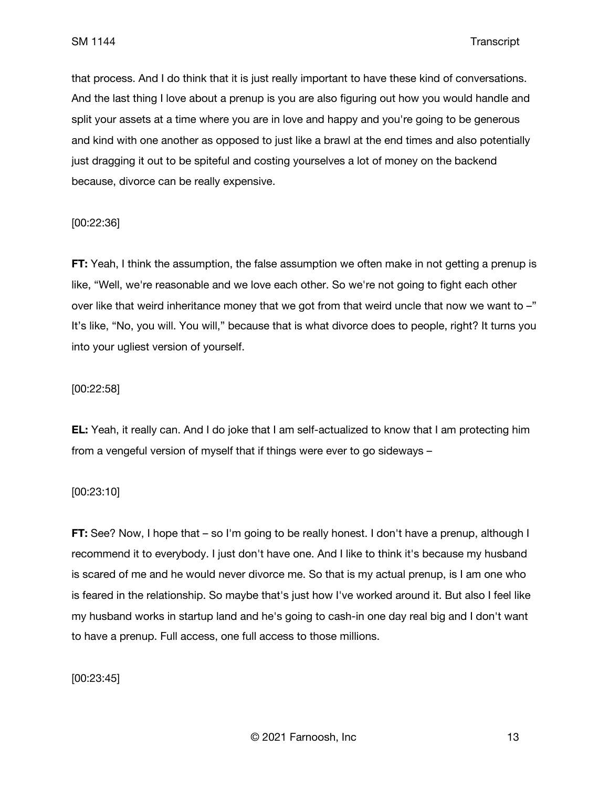that process. And I do think that it is just really important to have these kind of conversations. And the last thing I love about a prenup is you are also figuring out how you would handle and split your assets at a time where you are in love and happy and you're going to be generous and kind with one another as opposed to just like a brawl at the end times and also potentially just dragging it out to be spiteful and costing yourselves a lot of money on the backend because, divorce can be really expensive.

# [00:22:36]

**FT:** Yeah, I think the assumption, the false assumption we often make in not getting a prenup is like, "Well, we're reasonable and we love each other. So we're not going to fight each other over like that weird inheritance money that we got from that weird uncle that now we want to –" It's like, "No, you will. You will," because that is what divorce does to people, right? It turns you into your ugliest version of yourself.

### [00:22:58]

**EL:** Yeah, it really can. And I do joke that I am self-actualized to know that I am protecting him from a vengeful version of myself that if things were ever to go sideways –

### [00:23:10]

**FT:** See? Now, I hope that – so I'm going to be really honest. I don't have a prenup, although I recommend it to everybody. I just don't have one. And I like to think it's because my husband is scared of me and he would never divorce me. So that is my actual prenup, is I am one who is feared in the relationship. So maybe that's just how I've worked around it. But also I feel like my husband works in startup land and he's going to cash-in one day real big and I don't want to have a prenup. Full access, one full access to those millions.

[00:23:45]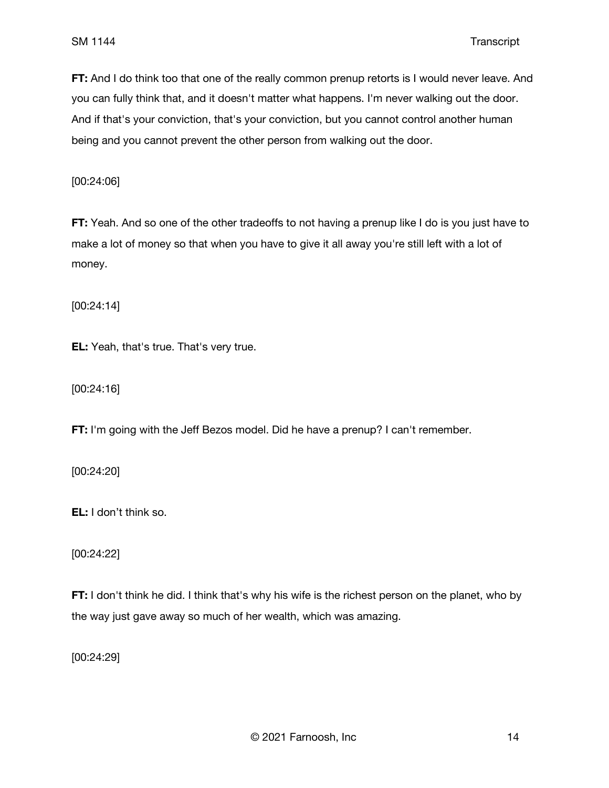**FT:** And I do think too that one of the really common prenup retorts is I would never leave. And you can fully think that, and it doesn't matter what happens. I'm never walking out the door. And if that's your conviction, that's your conviction, but you cannot control another human being and you cannot prevent the other person from walking out the door.

[00:24:06]

**FT:** Yeah. And so one of the other tradeoffs to not having a prenup like I do is you just have to make a lot of money so that when you have to give it all away you're still left with a lot of money.

[00:24:14]

**EL:** Yeah, that's true. That's very true.

[00:24:16]

**FT:** I'm going with the Jeff Bezos model. Did he have a prenup? I can't remember.

[00:24:20]

**EL:** I don't think so.

[00:24:22]

**FT:** I don't think he did. I think that's why his wife is the richest person on the planet, who by the way just gave away so much of her wealth, which was amazing.

[00:24:29]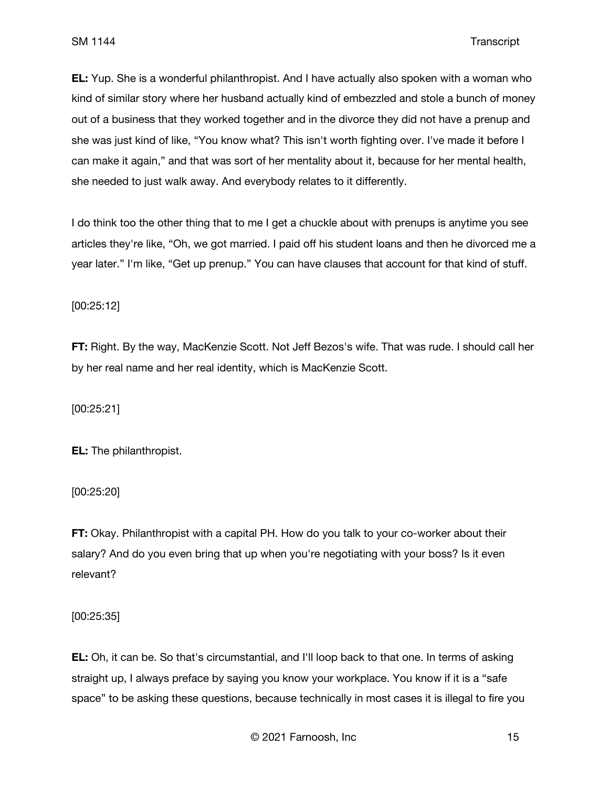**EL:** Yup. She is a wonderful philanthropist. And I have actually also spoken with a woman who kind of similar story where her husband actually kind of embezzled and stole a bunch of money out of a business that they worked together and in the divorce they did not have a prenup and she was just kind of like, "You know what? This isn't worth fighting over. I've made it before I can make it again," and that was sort of her mentality about it, because for her mental health, she needed to just walk away. And everybody relates to it differently.

I do think too the other thing that to me I get a chuckle about with prenups is anytime you see articles they're like, "Oh, we got married. I paid off his student loans and then he divorced me a year later." I'm like, "Get up prenup." You can have clauses that account for that kind of stuff.

[00:25:12]

**FT:** Right. By the way, MacKenzie Scott. Not Jeff Bezos's wife. That was rude. I should call her by her real name and her real identity, which is MacKenzie Scott.

[00:25:21]

**EL:** The philanthropist.

[00:25:20]

**FT:** Okay. Philanthropist with a capital PH. How do you talk to your co-worker about their salary? And do you even bring that up when you're negotiating with your boss? Is it even relevant?

[00:25:35]

**EL:** Oh, it can be. So that's circumstantial, and I'll loop back to that one. In terms of asking straight up, I always preface by saying you know your workplace. You know if it is a "safe space" to be asking these questions, because technically in most cases it is illegal to fire you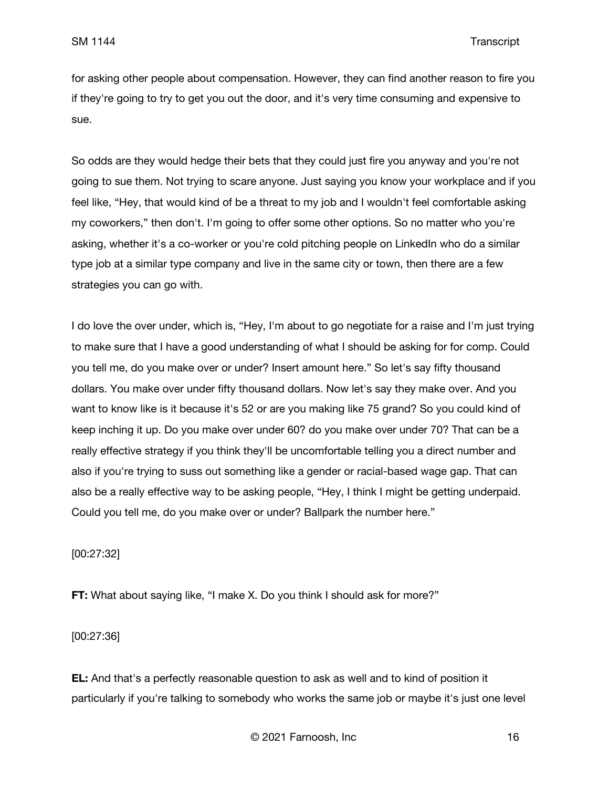for asking other people about compensation. However, they can find another reason to fire you if they're going to try to get you out the door, and it's very time consuming and expensive to sue.

So odds are they would hedge their bets that they could just fire you anyway and you're not going to sue them. Not trying to scare anyone. Just saying you know your workplace and if you feel like, "Hey, that would kind of be a threat to my job and I wouldn't feel comfortable asking my coworkers," then don't. I'm going to offer some other options. So no matter who you're asking, whether it's a co-worker or you're cold pitching people on LinkedIn who do a similar type job at a similar type company and live in the same city or town, then there are a few strategies you can go with.

I do love the over under, which is, "Hey, I'm about to go negotiate for a raise and I'm just trying to make sure that I have a good understanding of what I should be asking for for comp. Could you tell me, do you make over or under? Insert amount here." So let's say fifty thousand dollars. You make over under fifty thousand dollars. Now let's say they make over. And you want to know like is it because it's 52 or are you making like 75 grand? So you could kind of keep inching it up. Do you make over under 60? do you make over under 70? That can be a really effective strategy if you think they'll be uncomfortable telling you a direct number and also if you're trying to suss out something like a gender or racial-based wage gap. That can also be a really effective way to be asking people, "Hey, I think I might be getting underpaid. Could you tell me, do you make over or under? Ballpark the number here."

[00:27:32]

**FT:** What about saying like, "I make X. Do you think I should ask for more?"

[00:27:36]

**EL:** And that's a perfectly reasonable question to ask as well and to kind of position it particularly if you're talking to somebody who works the same job or maybe it's just one level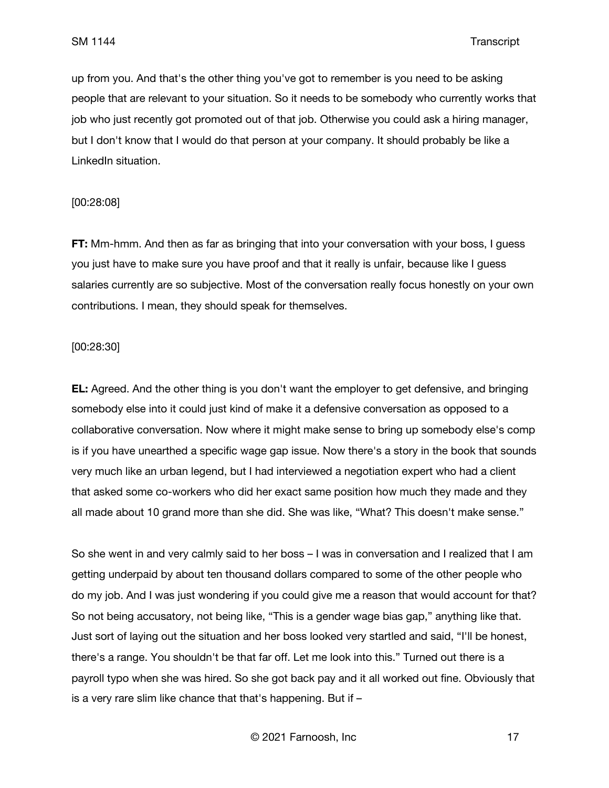up from you. And that's the other thing you've got to remember is you need to be asking people that are relevant to your situation. So it needs to be somebody who currently works that job who just recently got promoted out of that job. Otherwise you could ask a hiring manager, but I don't know that I would do that person at your company. It should probably be like a LinkedIn situation.

### [00:28:08]

**FT:** Mm-hmm. And then as far as bringing that into your conversation with your boss, I guess you just have to make sure you have proof and that it really is unfair, because like I guess salaries currently are so subjective. Most of the conversation really focus honestly on your own contributions. I mean, they should speak for themselves.

### [00:28:30]

**EL:** Agreed. And the other thing is you don't want the employer to get defensive, and bringing somebody else into it could just kind of make it a defensive conversation as opposed to a collaborative conversation. Now where it might make sense to bring up somebody else's comp is if you have unearthed a specific wage gap issue. Now there's a story in the book that sounds very much like an urban legend, but I had interviewed a negotiation expert who had a client that asked some co-workers who did her exact same position how much they made and they all made about 10 grand more than she did. She was like, "What? This doesn't make sense."

So she went in and very calmly said to her boss – I was in conversation and I realized that I am getting underpaid by about ten thousand dollars compared to some of the other people who do my job. And I was just wondering if you could give me a reason that would account for that? So not being accusatory, not being like, "This is a gender wage bias gap," anything like that. Just sort of laying out the situation and her boss looked very startled and said, "I'll be honest, there's a range. You shouldn't be that far off. Let me look into this." Turned out there is a payroll typo when she was hired. So she got back pay and it all worked out fine. Obviously that is a very rare slim like chance that that's happening. But if –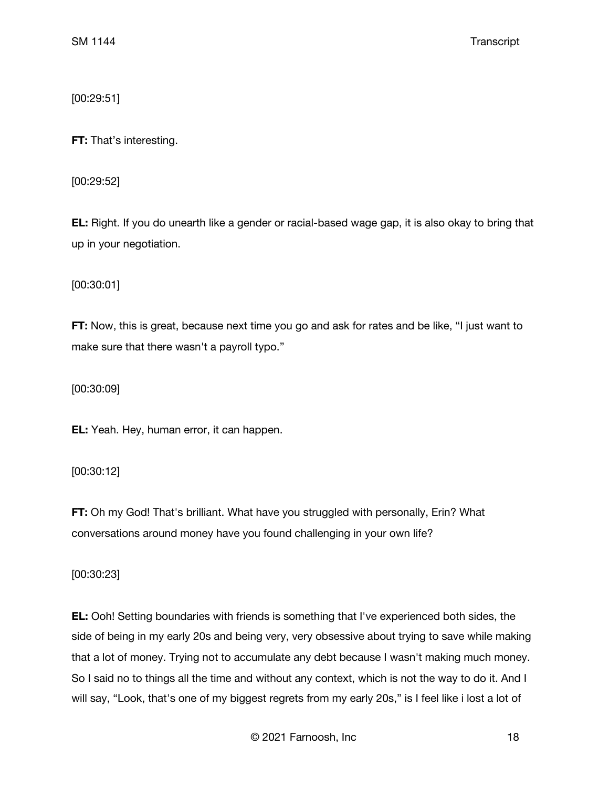[00:29:51]

**FT:** That's interesting.

[00:29:52]

**EL:** Right. If you do unearth like a gender or racial-based wage gap, it is also okay to bring that up in your negotiation.

[00:30:01]

**FT:** Now, this is great, because next time you go and ask for rates and be like, "I just want to make sure that there wasn't a payroll typo."

[00:30:09]

**EL:** Yeah. Hey, human error, it can happen.

[00:30:12]

**FT:** Oh my God! That's brilliant. What have you struggled with personally, Erin? What conversations around money have you found challenging in your own life?

[00:30:23]

**EL:** Ooh! Setting boundaries with friends is something that I've experienced both sides, the side of being in my early 20s and being very, very obsessive about trying to save while making that a lot of money. Trying not to accumulate any debt because I wasn't making much money. So I said no to things all the time and without any context, which is not the way to do it. And I will say, "Look, that's one of my biggest regrets from my early 20s," is I feel like i lost a lot of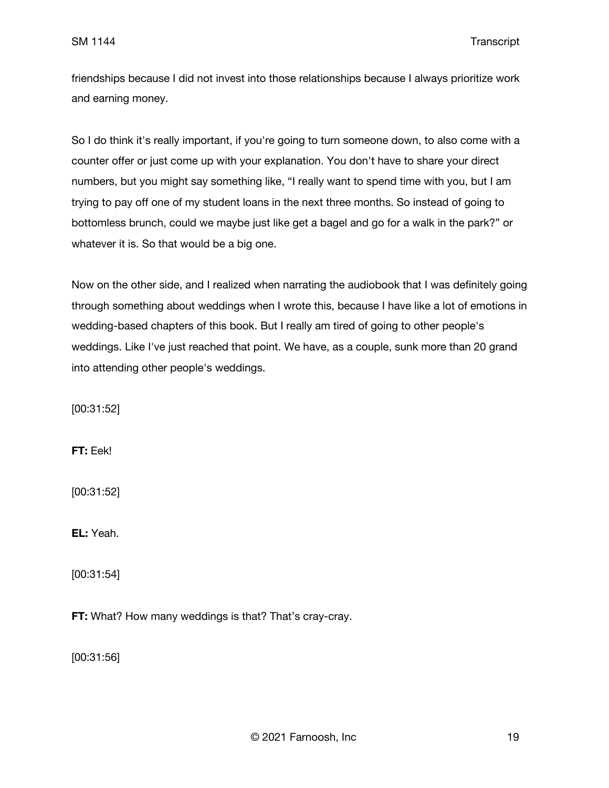friendships because I did not invest into those relationships because I always prioritize work and earning money.

So I do think it's really important, if you're going to turn someone down, to also come with a counter offer or just come up with your explanation. You don't have to share your direct numbers, but you might say something like, "I really want to spend time with you, but I am trying to pay off one of my student loans in the next three months. So instead of going to bottomless brunch, could we maybe just like get a bagel and go for a walk in the park?" or whatever it is. So that would be a big one.

Now on the other side, and I realized when narrating the audiobook that I was definitely going through something about weddings when I wrote this, because I have like a lot of emotions in wedding-based chapters of this book. But I really am tired of going to other people's weddings. Like I've just reached that point. We have, as a couple, sunk more than 20 grand into attending other people's weddings.

[00:31:52]

**FT:** Eek!

[00:31:52]

**EL:** Yeah.

[00:31:54]

**FT:** What? How many weddings is that? That's cray-cray.

[00:31:56]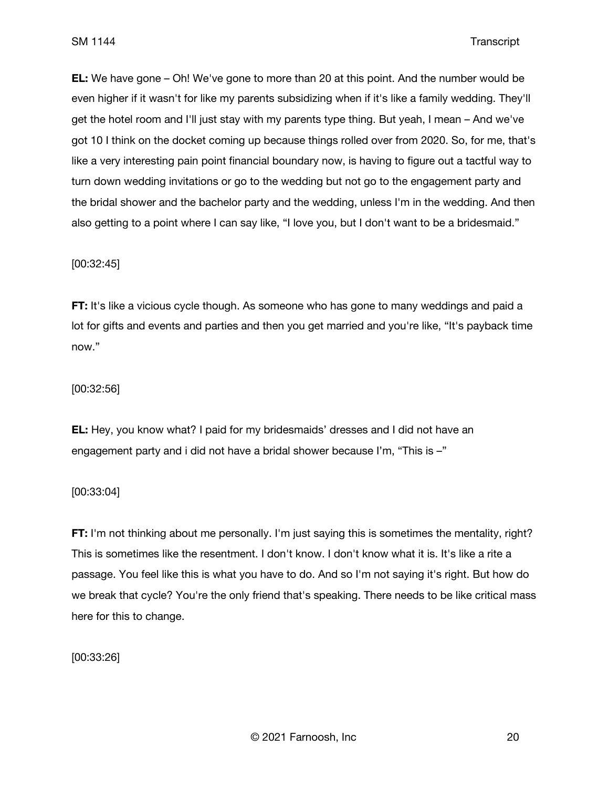**EL:** We have gone – Oh! We've gone to more than 20 at this point. And the number would be even higher if it wasn't for like my parents subsidizing when if it's like a family wedding. They'll get the hotel room and I'll just stay with my parents type thing. But yeah, I mean – And we've got 10 I think on the docket coming up because things rolled over from 2020. So, for me, that's like a very interesting pain point financial boundary now, is having to figure out a tactful way to turn down wedding invitations or go to the wedding but not go to the engagement party and the bridal shower and the bachelor party and the wedding, unless I'm in the wedding. And then also getting to a point where I can say like, "I love you, but I don't want to be a bridesmaid."

# [00:32:45]

**FT:** It's like a vicious cycle though. As someone who has gone to many weddings and paid a lot for gifts and events and parties and then you get married and you're like, "It's payback time now."

### [00:32:56]

**EL:** Hey, you know what? I paid for my bridesmaids' dresses and I did not have an engagement party and i did not have a bridal shower because I'm, "This is –"

### [00:33:04]

**FT:** I'm not thinking about me personally. I'm just saying this is sometimes the mentality, right? This is sometimes like the resentment. I don't know. I don't know what it is. It's like a rite a passage. You feel like this is what you have to do. And so I'm not saying it's right. But how do we break that cycle? You're the only friend that's speaking. There needs to be like critical mass here for this to change.

[00:33:26]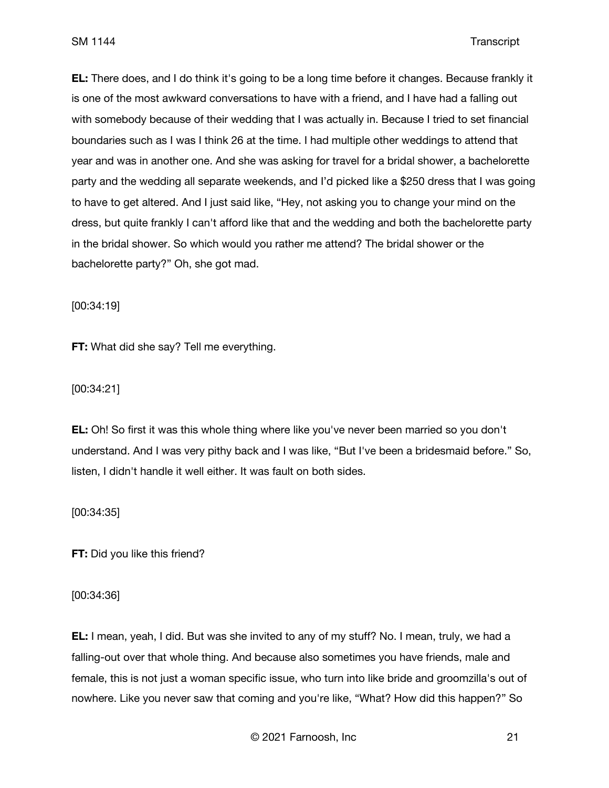**EL:** There does, and I do think it's going to be a long time before it changes. Because frankly it is one of the most awkward conversations to have with a friend, and I have had a falling out with somebody because of their wedding that I was actually in. Because I tried to set financial boundaries such as I was I think 26 at the time. I had multiple other weddings to attend that year and was in another one. And she was asking for travel for a bridal shower, a bachelorette party and the wedding all separate weekends, and I'd picked like a \$250 dress that I was going to have to get altered. And I just said like, "Hey, not asking you to change your mind on the dress, but quite frankly I can't afford like that and the wedding and both the bachelorette party in the bridal shower. So which would you rather me attend? The bridal shower or the bachelorette party?" Oh, she got mad.

[00:34:19]

**FT:** What did she say? Tell me everything.

[00:34:21]

**EL:** Oh! So first it was this whole thing where like you've never been married so you don't understand. And I was very pithy back and I was like, "But I've been a bridesmaid before." So, listen, I didn't handle it well either. It was fault on both sides.

[00:34:35]

**FT:** Did you like this friend?

[00:34:36]

**EL:** I mean, yeah, I did. But was she invited to any of my stuff? No. I mean, truly, we had a falling-out over that whole thing. And because also sometimes you have friends, male and female, this is not just a woman specific issue, who turn into like bride and groomzilla's out of nowhere. Like you never saw that coming and you're like, "What? How did this happen?" So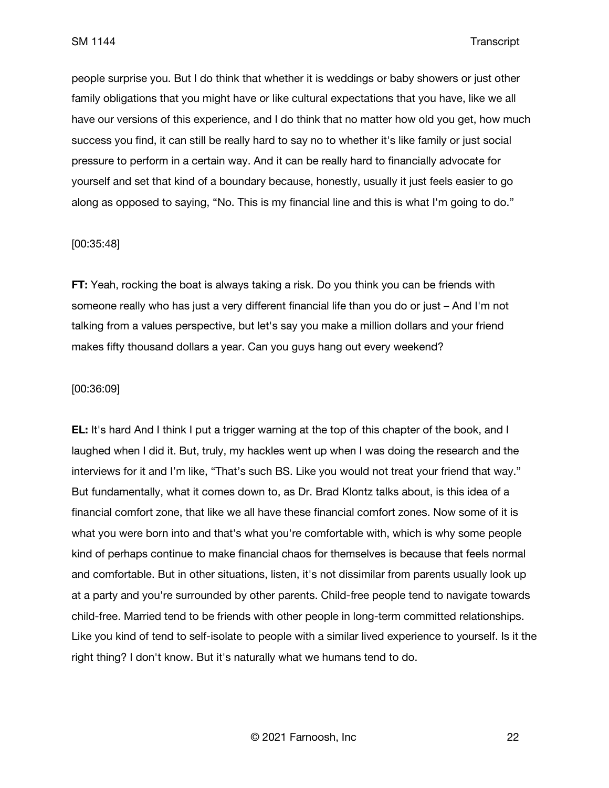people surprise you. But I do think that whether it is weddings or baby showers or just other family obligations that you might have or like cultural expectations that you have, like we all have our versions of this experience, and I do think that no matter how old you get, how much success you find, it can still be really hard to say no to whether it's like family or just social pressure to perform in a certain way. And it can be really hard to financially advocate for yourself and set that kind of a boundary because, honestly, usually it just feels easier to go along as opposed to saying, "No. This is my financial line and this is what I'm going to do."

#### [00:35:48]

**FT:** Yeah, rocking the boat is always taking a risk. Do you think you can be friends with someone really who has just a very different financial life than you do or just – And I'm not talking from a values perspective, but let's say you make a million dollars and your friend makes fifty thousand dollars a year. Can you guys hang out every weekend?

### [00:36:09]

**EL:** It's hard And I think I put a trigger warning at the top of this chapter of the book, and I laughed when I did it. But, truly, my hackles went up when I was doing the research and the interviews for it and I'm like, "That's such BS. Like you would not treat your friend that way." But fundamentally, what it comes down to, as Dr. Brad Klontz talks about, is this idea of a financial comfort zone, that like we all have these financial comfort zones. Now some of it is what you were born into and that's what you're comfortable with, which is why some people kind of perhaps continue to make financial chaos for themselves is because that feels normal and comfortable. But in other situations, listen, it's not dissimilar from parents usually look up at a party and you're surrounded by other parents. Child-free people tend to navigate towards child-free. Married tend to be friends with other people in long-term committed relationships. Like you kind of tend to self-isolate to people with a similar lived experience to yourself. Is it the right thing? I don't know. But it's naturally what we humans tend to do.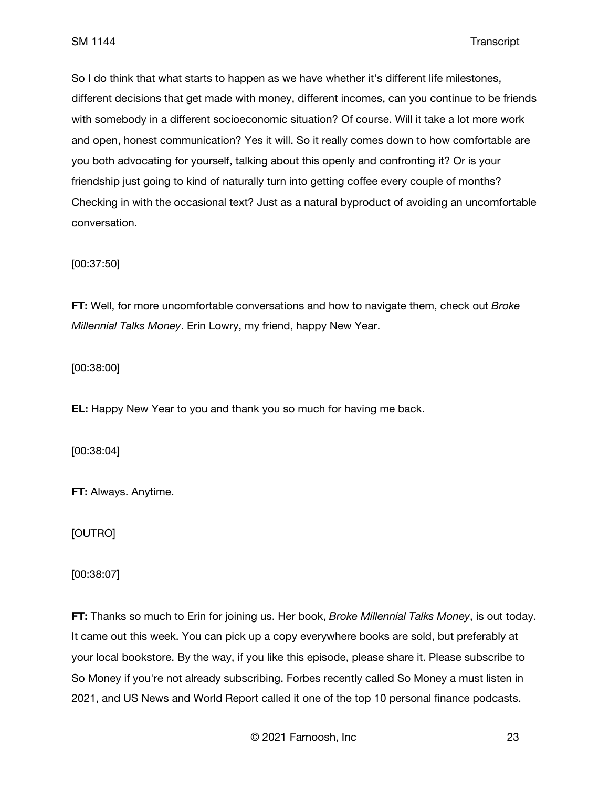So I do think that what starts to happen as we have whether it's different life milestones, different decisions that get made with money, different incomes, can you continue to be friends with somebody in a different socioeconomic situation? Of course. Will it take a lot more work and open, honest communication? Yes it will. So it really comes down to how comfortable are you both advocating for yourself, talking about this openly and confronting it? Or is your friendship just going to kind of naturally turn into getting coffee every couple of months? Checking in with the occasional text? Just as a natural byproduct of avoiding an uncomfortable conversation.

[00:37:50]

**FT:** Well, for more uncomfortable conversations and how to navigate them, check out *Broke Millennial Talks Money*. Erin Lowry, my friend, happy New Year.

[00:38:00]

**EL:** Happy New Year to you and thank you so much for having me back.

[00:38:04]

**FT:** Always. Anytime.

[OUTRO]

[00:38:07]

**FT:** Thanks so much to Erin for joining us. Her book, *Broke Millennial Talks Money*, is out today. It came out this week. You can pick up a copy everywhere books are sold, but preferably at your local bookstore. By the way, if you like this episode, please share it. Please subscribe to So Money if you're not already subscribing. Forbes recently called So Money a must listen in 2021, and US News and World Report called it one of the top 10 personal finance podcasts.